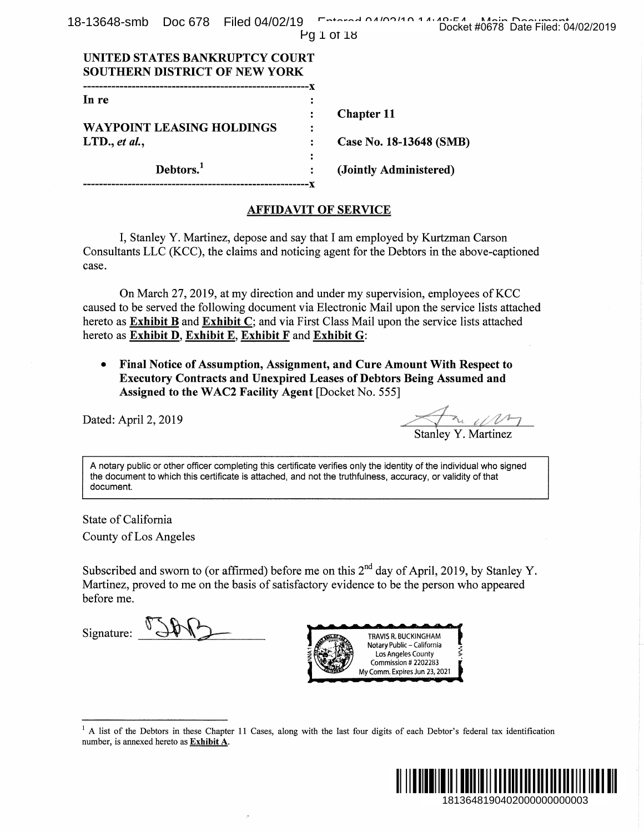|  |            | 18-13648-smb Doc 678 Filed 04/02/19 Fatered 04/02/10 14:00 Research 16:00 Decision 04 |
|--|------------|---------------------------------------------------------------------------------------|
|  |            | Docket #0678 Date Filed: 04/02/2019                                                   |
|  | Pq 1 of 18 |                                                                                       |

| UNITED STATES BANKRUPTCY COURT<br><b>SOUTHERN DISTRICT OF NEW YORK</b> |   |                         |
|------------------------------------------------------------------------|---|-------------------------|
| ----------------------------                                           |   |                         |
| In re                                                                  |   |                         |
|                                                                        |   | <b>Chapter 11</b>       |
| WAYPOINT LEASING HOLDINGS                                              |   |                         |
| $LTD$ ., et al.,                                                       |   | Case No. 18-13648 (SMB) |
|                                                                        | : |                         |
| Debtors. <sup>1</sup>                                                  |   | (Jointly Administered)  |
|                                                                        |   |                         |

#### **AFFIDAVIT OF SERVICE**

case.

hereto as Exhibit D, Exhibit E, Exhibit F and Exhibit G:

 $\bullet$ Assigned to the WAC2 Facility Agent [Docket No. 555]

Dated: April 2, 2019

document.

State of California County of Los Angeles

before me.

Signature:



number, is annexed hereto as Exhibit A.

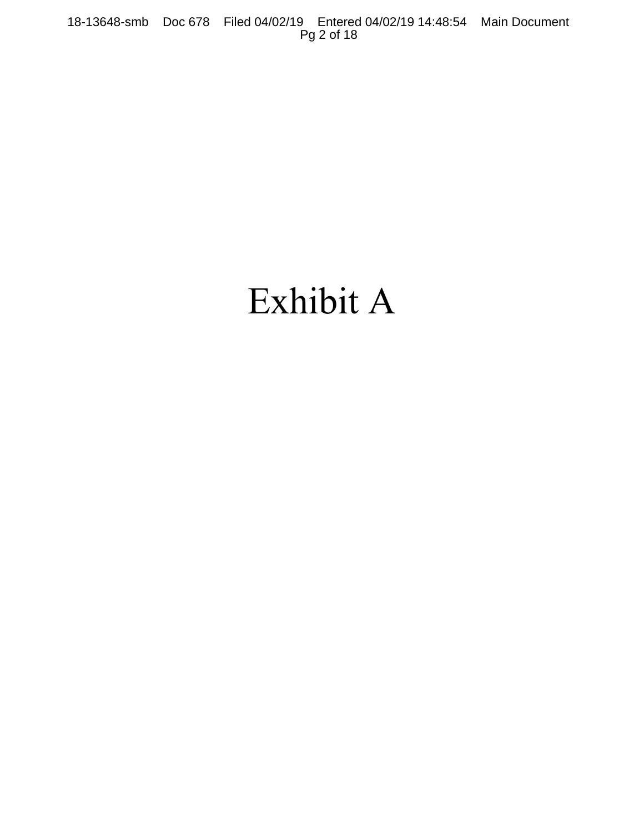## Exhibit A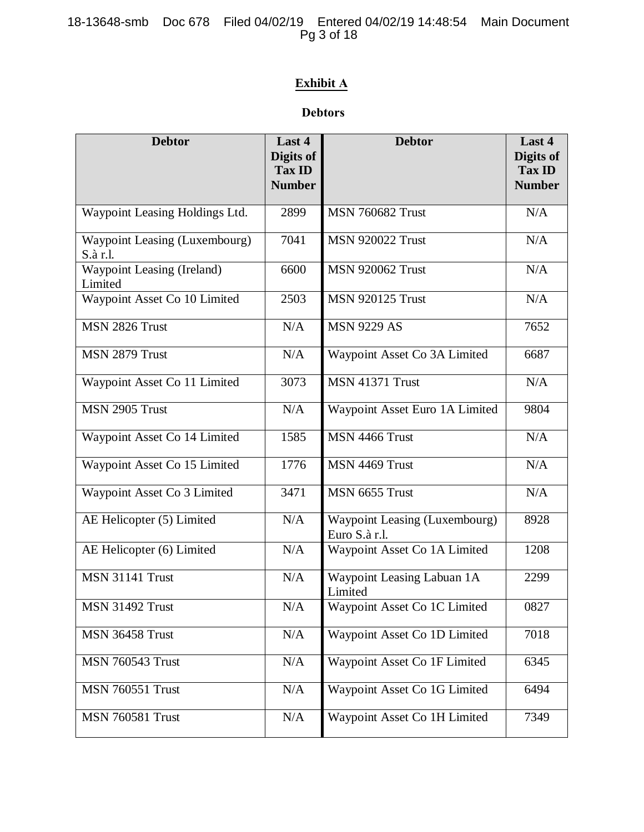## **Exhibit A**

### **Debtors**

| <b>Debtor</b>                             | Last 4<br>Digits of<br>Tax ID<br><b>Number</b> | <b>Debtor</b>                                  | Last 4<br>Digits of<br><b>Tax ID</b><br><b>Number</b> |
|-------------------------------------------|------------------------------------------------|------------------------------------------------|-------------------------------------------------------|
| Waypoint Leasing Holdings Ltd.            | 2899                                           | <b>MSN 760682 Trust</b>                        | N/A                                                   |
| Waypoint Leasing (Luxembourg)<br>S.à r.l. | 7041                                           | <b>MSN 920022 Trust</b>                        | N/A                                                   |
| Waypoint Leasing (Ireland)<br>Limited     | 6600                                           | <b>MSN 920062 Trust</b>                        | N/A                                                   |
| Waypoint Asset Co 10 Limited              | 2503                                           | <b>MSN 920125 Trust</b>                        | N/A                                                   |
| MSN 2826 Trust                            | N/A                                            | <b>MSN 9229 AS</b>                             | 7652                                                  |
| MSN 2879 Trust                            | N/A                                            | Waypoint Asset Co 3A Limited                   | 6687                                                  |
| Waypoint Asset Co 11 Limited              | 3073                                           | <b>MSN 41371 Trust</b>                         | N/A                                                   |
| <b>MSN 2905 Trust</b>                     | N/A                                            | Waypoint Asset Euro 1A Limited                 | 9804                                                  |
| Waypoint Asset Co 14 Limited              | 1585                                           | MSN 4466 Trust                                 | N/A                                                   |
| Waypoint Asset Co 15 Limited              | 1776                                           | MSN 4469 Trust                                 | N/A                                                   |
| Waypoint Asset Co 3 Limited               | 3471                                           | MSN 6655 Trust                                 | N/A                                                   |
| AE Helicopter (5) Limited                 | N/A                                            | Waypoint Leasing (Luxembourg)<br>Euro S.à r.l. | 8928                                                  |
| AE Helicopter (6) Limited                 | N/A                                            | Waypoint Asset Co 1A Limited                   | 1208                                                  |
| <b>MSN 31141 Trust</b>                    | N/A                                            | Waypoint Leasing Labuan 1A<br>Limited          | 2299                                                  |
| <b>MSN 31492 Trust</b>                    | $\rm N/A$                                      | Waypoint Asset Co 1C Limited                   | 0827                                                  |
| MSN 36458 Trust                           | N/A                                            | Waypoint Asset Co 1D Limited                   | 7018                                                  |
| <b>MSN 760543 Trust</b>                   | N/A                                            | Waypoint Asset Co 1F Limited                   | 6345                                                  |
| <b>MSN 760551 Trust</b>                   | N/A                                            | Waypoint Asset Co 1G Limited                   | 6494                                                  |
| <b>MSN 760581 Trust</b>                   | N/A                                            | Waypoint Asset Co 1H Limited                   | 7349                                                  |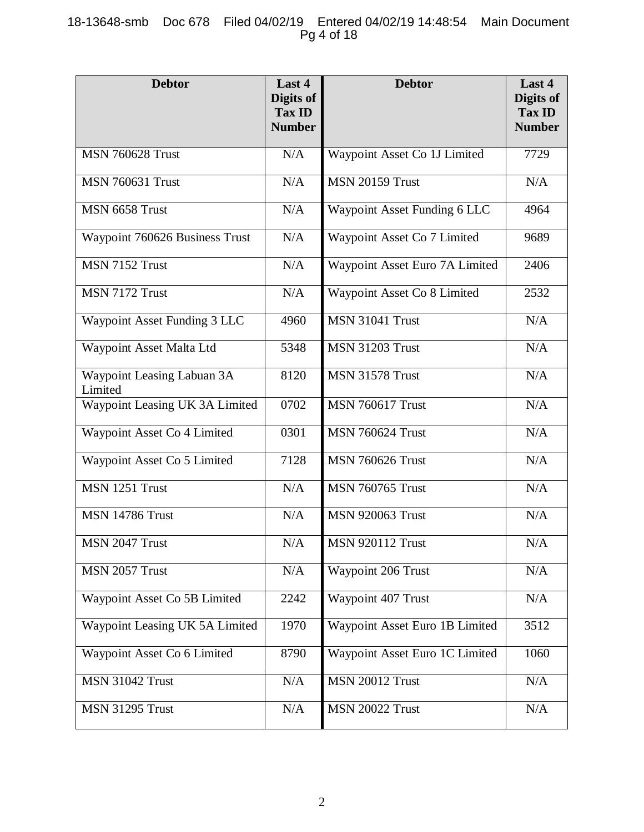| <b>Debtor</b>                         | Last 4<br>Digits of<br>Tax ID<br><b>Number</b> | <b>Debtor</b>                  | Last 4<br>Digits of<br><b>Tax ID</b><br><b>Number</b> |
|---------------------------------------|------------------------------------------------|--------------------------------|-------------------------------------------------------|
| <b>MSN 760628 Trust</b>               | N/A                                            | Waypoint Asset Co 1J Limited   | 7729                                                  |
| <b>MSN 760631 Trust</b>               | N/A                                            | <b>MSN 20159 Trust</b>         | N/A                                                   |
| MSN 6658 Trust                        | N/A                                            | Waypoint Asset Funding 6 LLC   | 4964                                                  |
| Waypoint 760626 Business Trust        | N/A                                            | Waypoint Asset Co 7 Limited    | 9689                                                  |
| MSN 7152 Trust                        | N/A                                            | Waypoint Asset Euro 7A Limited | 2406                                                  |
| MSN 7172 Trust                        | N/A                                            | Waypoint Asset Co 8 Limited    | 2532                                                  |
| Waypoint Asset Funding 3 LLC          | 4960                                           | <b>MSN 31041 Trust</b>         | N/A                                                   |
| Waypoint Asset Malta Ltd              | 5348                                           | <b>MSN 31203 Trust</b>         | N/A                                                   |
| Waypoint Leasing Labuan 3A<br>Limited | 8120                                           | <b>MSN 31578 Trust</b>         | N/A                                                   |
| Waypoint Leasing UK 3A Limited        | 0702                                           | <b>MSN 760617 Trust</b>        | N/A                                                   |
| Waypoint Asset Co 4 Limited           | 0301                                           | <b>MSN 760624 Trust</b>        | N/A                                                   |
| Waypoint Asset Co 5 Limited           | 7128                                           | <b>MSN 760626 Trust</b>        | N/A                                                   |
| MSN 1251 Trust                        | N/A                                            | <b>MSN 760765 Trust</b>        | N/A                                                   |
| <b>MSN 14786 Trust</b>                | N/A                                            | <b>MSN 920063 Trust</b>        | N/A                                                   |
| MSN 2047 Trust                        | N/A                                            | <b>MSN 920112 Trust</b>        | N/A                                                   |
| MSN 2057 Trust                        | N/A                                            | Waypoint 206 Trust             | N/A                                                   |
| Waypoint Asset Co 5B Limited          | 2242                                           | Waypoint 407 Trust             | N/A                                                   |
| Waypoint Leasing UK 5A Limited        | 1970                                           | Waypoint Asset Euro 1B Limited | 3512                                                  |
| Waypoint Asset Co 6 Limited           | 8790                                           | Waypoint Asset Euro 1C Limited | 1060                                                  |
| <b>MSN 31042 Trust</b>                | N/A                                            | <b>MSN 20012 Trust</b>         | N/A                                                   |
| <b>MSN 31295 Trust</b>                | N/A                                            | <b>MSN 20022 Trust</b>         | N/A                                                   |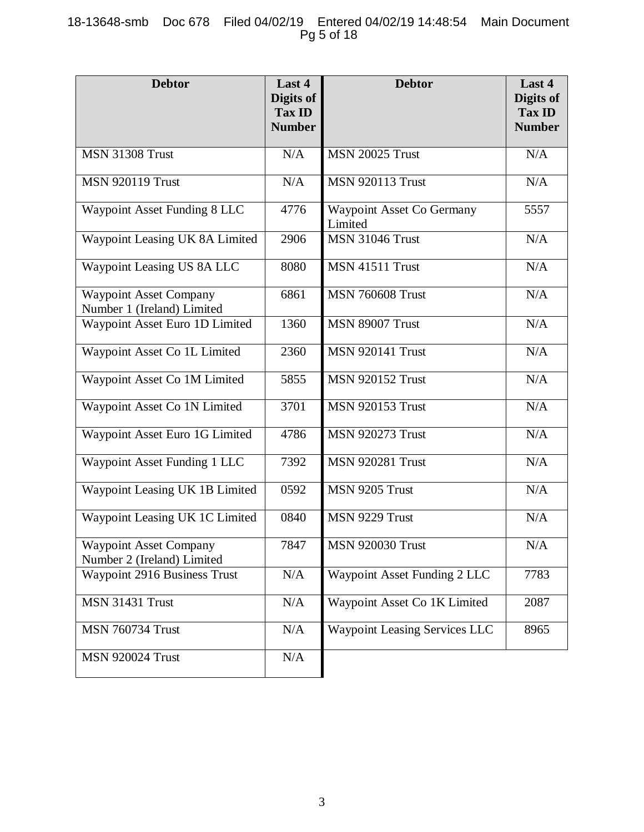| <b>Debtor</b>                                               | Last 4<br>Digits of<br>Tax ID<br><b>Number</b> | <b>Debtor</b>                               | Last 4<br>Digits of<br><b>Tax ID</b><br><b>Number</b> |
|-------------------------------------------------------------|------------------------------------------------|---------------------------------------------|-------------------------------------------------------|
| <b>MSN 31308 Trust</b>                                      | N/A                                            | <b>MSN 20025 Trust</b>                      | N/A                                                   |
| <b>MSN 920119 Trust</b>                                     | N/A                                            | <b>MSN 920113 Trust</b>                     | N/A                                                   |
| Waypoint Asset Funding 8 LLC                                | 4776                                           | <b>Waypoint Asset Co Germany</b><br>Limited | 5557                                                  |
| Waypoint Leasing UK 8A Limited                              | 2906                                           | <b>MSN 31046 Trust</b>                      | N/A                                                   |
| Waypoint Leasing US 8A LLC                                  | 8080                                           | <b>MSN 41511 Trust</b>                      | N/A                                                   |
| <b>Waypoint Asset Company</b><br>Number 1 (Ireland) Limited | 6861                                           | <b>MSN 760608 Trust</b>                     | N/A                                                   |
| Waypoint Asset Euro 1D Limited                              | 1360                                           | <b>MSN 89007 Trust</b>                      | N/A                                                   |
| Waypoint Asset Co 1L Limited                                | 2360                                           | <b>MSN 920141 Trust</b>                     | N/A                                                   |
| Waypoint Asset Co 1M Limited                                | 5855                                           | <b>MSN 920152 Trust</b>                     | N/A                                                   |
| Waypoint Asset Co 1N Limited                                | 3701                                           | <b>MSN 920153 Trust</b>                     | N/A                                                   |
| Waypoint Asset Euro 1G Limited                              | 4786                                           | <b>MSN 920273 Trust</b>                     | N/A                                                   |
| Waypoint Asset Funding 1 LLC                                | 7392                                           | <b>MSN 920281 Trust</b>                     | N/A                                                   |
| Waypoint Leasing UK 1B Limited                              | 0592                                           | MSN 9205 Trust                              | N/A                                                   |
| Waypoint Leasing UK 1C Limited                              | 0840                                           | MSN 9229 Trust                              | N/A                                                   |
| <b>Waypoint Asset Company</b><br>Number 2 (Ireland) Limited | 7847                                           | <b>MSN 920030 Trust</b>                     | N/A                                                   |
| Waypoint 2916 Business Trust                                | N/A                                            | Waypoint Asset Funding 2 LLC                | 7783                                                  |
| <b>MSN 31431 Trust</b>                                      | N/A                                            | Waypoint Asset Co 1K Limited                | 2087                                                  |
| <b>MSN 760734 Trust</b>                                     | N/A                                            | <b>Waypoint Leasing Services LLC</b>        | 8965                                                  |
| <b>MSN 920024 Trust</b>                                     | N/A                                            |                                             |                                                       |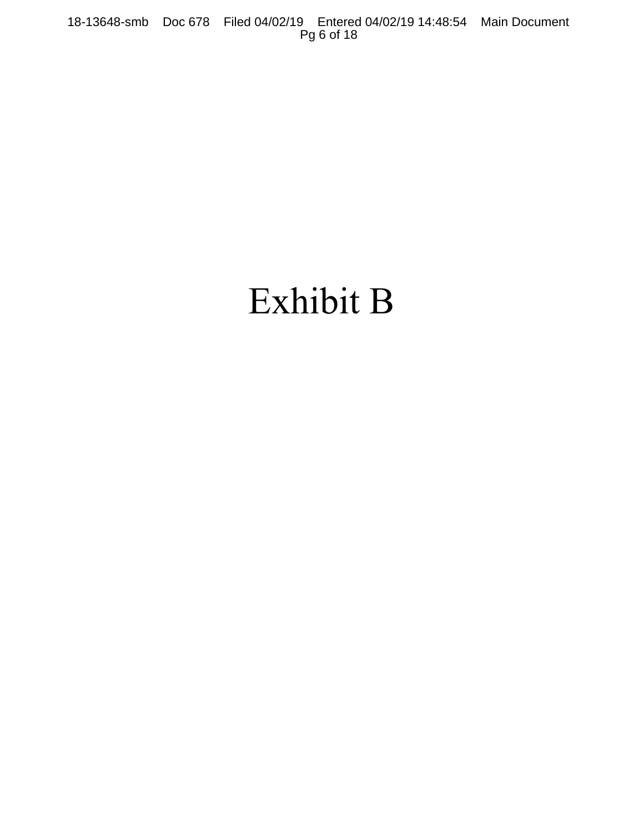# Exhibit B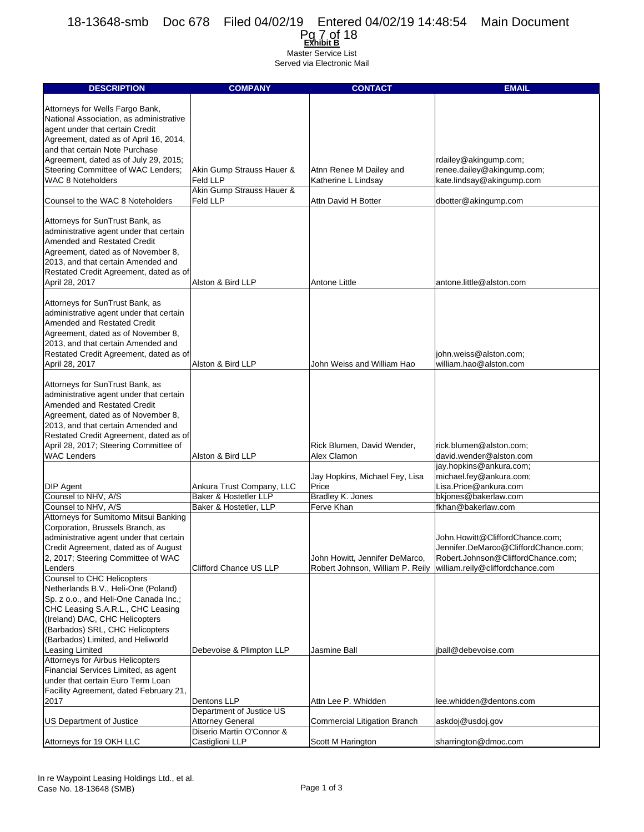| 'a 7 of 18<br><b>EXhibit B</b> |  |
|--------------------------------|--|
| Master Service List            |  |

| <b>DESCRIPTION</b>                                                     | <b>COMPANY</b>                                       | <b>CONTACT</b>                   | <b>EMAIL</b>                         |
|------------------------------------------------------------------------|------------------------------------------------------|----------------------------------|--------------------------------------|
|                                                                        |                                                      |                                  |                                      |
| Attorneys for Wells Fargo Bank,                                        |                                                      |                                  |                                      |
| National Association, as administrative                                |                                                      |                                  |                                      |
| agent under that certain Credit                                        |                                                      |                                  |                                      |
| Agreement, dated as of April 16, 2014,                                 |                                                      |                                  |                                      |
| and that certain Note Purchase                                         |                                                      |                                  |                                      |
| Agreement, dated as of July 29, 2015;                                  |                                                      |                                  | rdailey@akingump.com;                |
| Steering Committee of WAC Lenders;                                     | Akin Gump Strauss Hauer &                            | Atnn Renee M Dailey and          | renee.dailey@akingump.com;           |
| <b>WAC 8 Noteholders</b>                                               | Feld LLP                                             | Katherine L Lindsay              | kate.lindsay@akingump.com            |
|                                                                        | Akin Gump Strauss Hauer &                            |                                  |                                      |
| Counsel to the WAC 8 Noteholders                                       | Feld LLP                                             | Attn David H Botter              | dbotter@akingump.com                 |
|                                                                        |                                                      |                                  |                                      |
| Attorneys for SunTrust Bank, as                                        |                                                      |                                  |                                      |
| administrative agent under that certain                                |                                                      |                                  |                                      |
| Amended and Restated Credit                                            |                                                      |                                  |                                      |
| Agreement, dated as of November 8,                                     |                                                      |                                  |                                      |
| 2013, and that certain Amended and                                     |                                                      |                                  |                                      |
| Restated Credit Agreement, dated as of                                 |                                                      |                                  |                                      |
| April 28, 2017                                                         | Alston & Bird LLP                                    | Antone Little                    | antone.little@alston.com             |
|                                                                        |                                                      |                                  |                                      |
| Attorneys for SunTrust Bank, as                                        |                                                      |                                  |                                      |
| administrative agent under that certain                                |                                                      |                                  |                                      |
| Amended and Restated Credit                                            |                                                      |                                  |                                      |
| Agreement, dated as of November 8,                                     |                                                      |                                  |                                      |
| 2013, and that certain Amended and                                     |                                                      |                                  |                                      |
| Restated Credit Agreement, dated as of                                 |                                                      |                                  | john.weiss@alston.com;               |
| April 28, 2017                                                         | Alston & Bird LLP                                    | John Weiss and William Hao       | william.hao@alston.com               |
| Attorneys for SunTrust Bank, as                                        |                                                      |                                  |                                      |
|                                                                        |                                                      |                                  |                                      |
| administrative agent under that certain<br>Amended and Restated Credit |                                                      |                                  |                                      |
| Agreement, dated as of November 8,                                     |                                                      |                                  |                                      |
| 2013, and that certain Amended and                                     |                                                      |                                  |                                      |
| Restated Credit Agreement, dated as of                                 |                                                      |                                  |                                      |
| April 28, 2017; Steering Committee of                                  |                                                      | Rick Blumen, David Wender,       | rick.blumen@alston.com;              |
| <b>WAC Lenders</b>                                                     | Alston & Bird LLP                                    | Alex Clamon                      | david.wender@alston.com              |
|                                                                        |                                                      |                                  | jay.hopkins@ankura.com;              |
|                                                                        |                                                      | Jay Hopkins, Michael Fey, Lisa   | michael.fey@ankura.com;              |
| <b>DIP</b> Agent                                                       | Ankura Trust Company, LLC                            | Price                            | Lisa.Price@ankura.com                |
| Counsel to NHV, A/S                                                    | Baker & Hostetler LLP                                | Bradley K. Jones                 | bkjones@bakerlaw.com                 |
| Counsel to NHV, A/S                                                    | Baker & Hostetler, LLP                               | Ferve Khan                       | fkhan@bakerlaw.com                   |
| Attorneys for Sumitomo Mitsui Banking                                  |                                                      |                                  |                                      |
| Corporation, Brussels Branch, as                                       |                                                      |                                  |                                      |
| administrative agent under that certain                                |                                                      |                                  | John.Howitt@CliffordChance.com;      |
| Credit Agreement, dated as of August                                   |                                                      |                                  | Jennifer.DeMarco@CliffordChance.com; |
| 2, 2017; Steering Committee of WAC                                     |                                                      | John Howitt, Jennifer DeMarco,   | Robert.Johnson@CliffordChance.com;   |
| Lenders                                                                | Clifford Chance US LLP                               | Robert Johnson, William P. Reily | william.reily@cliffordchance.com     |
| Counsel to CHC Helicopters                                             |                                                      |                                  |                                      |
| Netherlands B.V., Heli-One (Poland)                                    |                                                      |                                  |                                      |
| Sp. z o.o., and Heli-One Canada Inc.;                                  |                                                      |                                  |                                      |
| CHC Leasing S.A.R.L., CHC Leasing                                      |                                                      |                                  |                                      |
| (Ireland) DAC, CHC Helicopters                                         |                                                      |                                  |                                      |
| (Barbados) SRL, CHC Helicopters                                        |                                                      |                                  |                                      |
| (Barbados) Limited, and Heliworld                                      |                                                      |                                  |                                      |
| Leasing Limited                                                        | Debevoise & Plimpton LLP                             | Jasmine Ball                     | jball@debevoise.com                  |
| Attorneys for Airbus Helicopters                                       |                                                      |                                  |                                      |
| Financial Services Limited, as agent                                   |                                                      |                                  |                                      |
| under that certain Euro Term Loan                                      |                                                      |                                  |                                      |
| Facility Agreement, dated February 21,                                 |                                                      |                                  |                                      |
| 2017                                                                   | Dentons LLP                                          | Attn Lee P. Whidden              | lee.whidden@dentons.com              |
|                                                                        | Department of Justice US                             |                                  |                                      |
| US Department of Justice                                               | <b>Attorney General</b><br>Diserio Martin O'Connor & | Commercial Litigation Branch     | askdoj@usdoj.gov                     |
| Attorneys for 19 OKH LLC                                               | Castiglioni LLP                                      | Scott M Harington                | sharrington@dmoc.com                 |
|                                                                        |                                                      |                                  |                                      |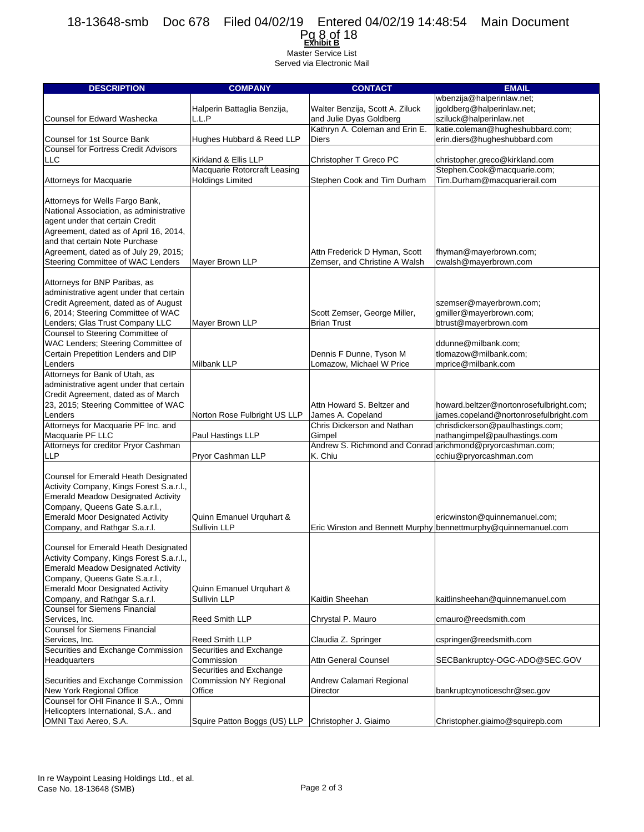

| <b>DESCRIPTION</b>                          | <b>COMPANY</b>                | <b>CONTACT</b>                                            | <b>EMAIL</b>                                                   |
|---------------------------------------------|-------------------------------|-----------------------------------------------------------|----------------------------------------------------------------|
|                                             |                               |                                                           | wbenzija@halperinlaw.net;                                      |
|                                             |                               | Walter Benzija, Scott A. Ziluck                           | jgoldberg@halperinlaw.net;                                     |
|                                             | Halperin Battaglia Benzija,   |                                                           |                                                                |
| Counsel for Edward Washecka                 | L.L.P                         | and Julie Dyas Goldberg                                   | sziluck@halperinlaw.net                                        |
|                                             |                               | Kathryn A. Coleman and Erin E.                            | katie.coleman@hugheshubbard.com;                               |
| Counsel for 1st Source Bank                 | Hughes Hubbard & Reed LLP     | Diers                                                     | erin.diers@hugheshubbard.com                                   |
| <b>Counsel for Fortress Credit Advisors</b> |                               |                                                           |                                                                |
| <b>LLC</b>                                  | Kirkland & Ellis LLP          | Christopher T Greco PC                                    | christopher.greco@kirkland.com                                 |
|                                             | Macquarie Rotorcraft Leasing  |                                                           | Stephen.Cook@macquarie.com;                                    |
| Attorneys for Macquarie                     | <b>Holdings Limited</b>       | Stephen Cook and Tim Durham                               | Tim.Durham@macquarierail.com                                   |
|                                             |                               |                                                           |                                                                |
| Attorneys for Wells Fargo Bank,             |                               |                                                           |                                                                |
| National Association, as administrative     |                               |                                                           |                                                                |
| agent under that certain Credit             |                               |                                                           |                                                                |
|                                             |                               |                                                           |                                                                |
| Agreement, dated as of April 16, 2014,      |                               |                                                           |                                                                |
| and that certain Note Purchase              |                               |                                                           |                                                                |
| Agreement, dated as of July 29, 2015;       |                               | Attn Frederick D Hyman, Scott                             | fhyman@mayerbrown.com;                                         |
| Steering Committee of WAC Lenders           | Mayer Brown LLP               | Zemser, and Christine A Walsh                             | cwalsh@mayerbrown.com                                          |
|                                             |                               |                                                           |                                                                |
| Attorneys for BNP Paribas, as               |                               |                                                           |                                                                |
| administrative agent under that certain     |                               |                                                           |                                                                |
| Credit Agreement, dated as of August        |                               |                                                           | szemser@mayerbrown.com;                                        |
| 6, 2014; Steering Committee of WAC          |                               | Scott Zemser, George Miller,                              | gmiller@mayerbrown.com;                                        |
| Lenders; Glas Trust Company LLC             | Mayer Brown LLP               | <b>Brian Trust</b>                                        | btrust@mayerbrown.com                                          |
| Counsel to Steering Committee of            |                               |                                                           |                                                                |
| WAC Lenders; Steering Committee of          |                               |                                                           | ddunne@milbank.com;                                            |
| Certain Prepetition Lenders and DIP         |                               | Dennis F Dunne, Tyson M                                   | tlomazow@milbank.com;                                          |
| Lenders                                     | Milbank LLP                   | Lomazow, Michael W Price                                  | mprice@milbank.com                                             |
| Attorneys for Bank of Utah, as              |                               |                                                           |                                                                |
|                                             |                               |                                                           |                                                                |
| administrative agent under that certain     |                               |                                                           |                                                                |
| Credit Agreement, dated as of March         |                               |                                                           |                                                                |
| 23, 2015; Steering Committee of WAC         |                               | Attn Howard S. Beltzer and                                | howard.beltzer@nortonrosefulbright.com;                        |
| Lenders                                     | Norton Rose Fulbright US LLP  | James A. Copeland                                         | james.copeland@nortonrosefulbright.com                         |
| Attorneys for Macquarie PF Inc. and         |                               | Chris Dickerson and Nathan                                | chrisdickerson@paulhastings.com;                               |
| Macquarie PF LLC                            | Paul Hastings LLP             | Gimpel                                                    | nathangimpel@paulhastings.com                                  |
| Attorneys for creditor Pryor Cashman        |                               | Andrew S. Richmond and Conrad arichmond@pryorcashman.com; |                                                                |
| <b>LLP</b>                                  | Pryor Cashman LLP             | K. Chiu                                                   | cchiu@pryorcashman.com                                         |
|                                             |                               |                                                           |                                                                |
| Counsel for Emerald Heath Designated        |                               |                                                           |                                                                |
| Activity Company, Kings Forest S.a.r.l.,    |                               |                                                           |                                                                |
| <b>Emerald Meadow Designated Activity</b>   |                               |                                                           |                                                                |
| Company, Queens Gate S.a.r.l.,              |                               |                                                           |                                                                |
| <b>Emerald Moor Designated Activity</b>     | Quinn Emanuel Urquhart &      |                                                           | ericwinston@quinnemanuel.com;                                  |
| Company, and Rathgar S.a.r.l.               | Sullivin LLP                  |                                                           | Eric Winston and Bennett Murphy bennettmurphy@quinnemanuel.com |
|                                             |                               |                                                           |                                                                |
| Counsel for Emerald Heath Designated        |                               |                                                           |                                                                |
| Activity Company, Kings Forest S.a.r.l.,    |                               |                                                           |                                                                |
| <b>Emerald Meadow Designated Activity</b>   |                               |                                                           |                                                                |
| Company, Queens Gate S.a.r.l.,              |                               |                                                           |                                                                |
| <b>Emerald Moor Designated Activity</b>     | Quinn Emanuel Urquhart &      |                                                           |                                                                |
|                                             |                               |                                                           |                                                                |
| Company, and Rathgar S.a.r.l.               | Sullivin LLP                  | Kaitlin Sheehan                                           | kaitlinsheehan@quinnemanuel.com                                |
| <b>Counsel for Siemens Financial</b>        |                               |                                                           |                                                                |
| Services, Inc.                              | Reed Smith LLP                | Chrystal P. Mauro                                         | cmauro@reedsmith.com                                           |
| <b>Counsel for Siemens Financial</b>        |                               |                                                           |                                                                |
| Services, Inc.                              | Reed Smith LLP                | Claudia Z. Springer                                       | cspringer@reedsmith.com                                        |
| Securities and Exchange Commission          | Securities and Exchange       |                                                           |                                                                |
| Headquarters                                | Commission                    | <b>Attn General Counsel</b>                               | SECBankruptcy-OGC-ADO@SEC.GOV                                  |
|                                             | Securities and Exchange       |                                                           |                                                                |
| Securities and Exchange Commission          | <b>Commission NY Regional</b> | Andrew Calamari Regional                                  |                                                                |
| New York Regional Office                    | Office                        | Director                                                  | bankruptcynoticeschr@sec.gov                                   |
| Counsel for OHI Finance II S.A., Omni       |                               |                                                           |                                                                |
| Helicopters International, S.A and          |                               |                                                           |                                                                |
| OMNI Taxi Aereo, S.A.                       | Squire Patton Boggs (US) LLP  | Christopher J. Giaimo                                     | Christopher.giaimo@squirepb.com                                |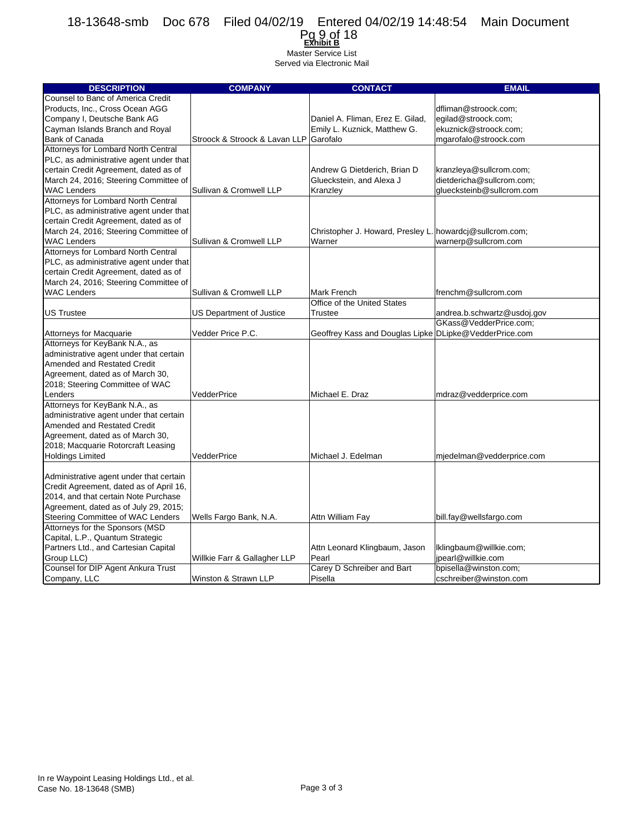#### **Exhibit B** Pg 9 of 18Master Service List

| <b>DESCRIPTION</b>                      | <b>COMPANY</b>                         | <b>CONTACT</b>                                           | <b>EMAIL</b>                |
|-----------------------------------------|----------------------------------------|----------------------------------------------------------|-----------------------------|
| Counsel to Banc of America Credit       |                                        |                                                          |                             |
| Products, Inc., Cross Ocean AGG         |                                        |                                                          | dfliman@stroock.com;        |
| Company I, Deutsche Bank AG             |                                        | Daniel A. Fliman, Erez E. Gilad,                         | egilad@stroock.com;         |
| Cayman Islands Branch and Royal         |                                        | Emily L. Kuznick, Matthew G.                             | ekuznick@stroock.com;       |
| <b>Bank of Canada</b>                   | Stroock & Stroock & Lavan LLP Garofalo |                                                          | mgarofalo@stroock.com       |
| Attorneys for Lombard North Central     |                                        |                                                          |                             |
| PLC, as administrative agent under that |                                        |                                                          |                             |
| certain Credit Agreement, dated as of   |                                        | Andrew G Dietderich, Brian D                             | kranzleya@sullcrom.com;     |
| March 24, 2016; Steering Committee of   |                                        | Glueckstein, and Alexa J                                 | dietdericha@sullcrom.com;   |
| <b>WAC Lenders</b>                      | Sullivan & Cromwell LLP                | Kranzley                                                 | aluecksteinb@sullcrom.com   |
| Attorneys for Lombard North Central     |                                        |                                                          |                             |
| PLC, as administrative agent under that |                                        |                                                          |                             |
| certain Credit Agreement, dated as of   |                                        |                                                          |                             |
| March 24, 2016; Steering Committee of   |                                        | Christopher J. Howard, Presley L. howardcj@sullcrom.com; |                             |
| <b>WAC Lenders</b>                      | Sullivan & Cromwell LLP                | Warner                                                   | warnerp@sullcrom.com        |
| Attorneys for Lombard North Central     |                                        |                                                          |                             |
| PLC, as administrative agent under that |                                        |                                                          |                             |
| certain Credit Agreement, dated as of   |                                        |                                                          |                             |
| March 24, 2016; Steering Committee of   |                                        |                                                          |                             |
| <b>WAC Lenders</b>                      | Sullivan & Cromwell LLP                | Mark French                                              | frenchm@sullcrom.com        |
|                                         |                                        | Office of the United States                              |                             |
| <b>US Trustee</b>                       | US Department of Justice               | Trustee                                                  | andrea.b.schwartz@usdoj.gov |
|                                         |                                        |                                                          | GKass@VedderPrice.com;      |
| <b>Attorneys for Macquarie</b>          | Vedder Price P.C.                      | Geoffrey Kass and Douglas Lipke DLipke@VedderPrice.com   |                             |
| Attorneys for KeyBank N.A., as          |                                        |                                                          |                             |
| administrative agent under that certain |                                        |                                                          |                             |
| <b>Amended and Restated Credit</b>      |                                        |                                                          |                             |
| Agreement, dated as of March 30,        |                                        |                                                          |                             |
| 2018; Steering Committee of WAC         |                                        |                                                          |                             |
| Lenders                                 | VedderPrice                            | Michael E. Draz                                          | mdraz@vedderprice.com       |
| Attorneys for KeyBank N.A., as          |                                        |                                                          |                             |
| administrative agent under that certain |                                        |                                                          |                             |
| <b>Amended and Restated Credit</b>      |                                        |                                                          |                             |
| Agreement, dated as of March 30,        |                                        |                                                          |                             |
| 2018; Macquarie Rotorcraft Leasing      |                                        |                                                          |                             |
| <b>Holdings Limited</b>                 | VedderPrice                            | Michael J. Edelman                                       | mjedelman@vedderprice.com   |
|                                         |                                        |                                                          |                             |
| Administrative agent under that certain |                                        |                                                          |                             |
| Credit Agreement, dated as of April 16, |                                        |                                                          |                             |
| 2014, and that certain Note Purchase    |                                        |                                                          |                             |
| Agreement, dated as of July 29, 2015;   |                                        |                                                          |                             |
| Steering Committee of WAC Lenders       | Wells Fargo Bank, N.A.                 | Attn William Fay                                         | bill.fay@wellsfargo.com     |
| Attorneys for the Sponsors (MSD         |                                        |                                                          |                             |
| Capital, L.P., Quantum Strategic        |                                        |                                                          |                             |
| Partners Ltd., and Cartesian Capital    |                                        | Attn Leonard Klingbaum, Jason                            | Iklingbaum@willkie.com;     |
| Group LLC)                              | Willkie Farr & Gallagher LLP           | Pearl                                                    | ipearl@willkie.com          |
| Counsel for DIP Agent Ankura Trust      |                                        | Carey D Schreiber and Bart                               | bpisella@winston.com;       |
| Company, LLC                            | Winston & Strawn LLP                   | Pisella                                                  | cschreiber@winston.com      |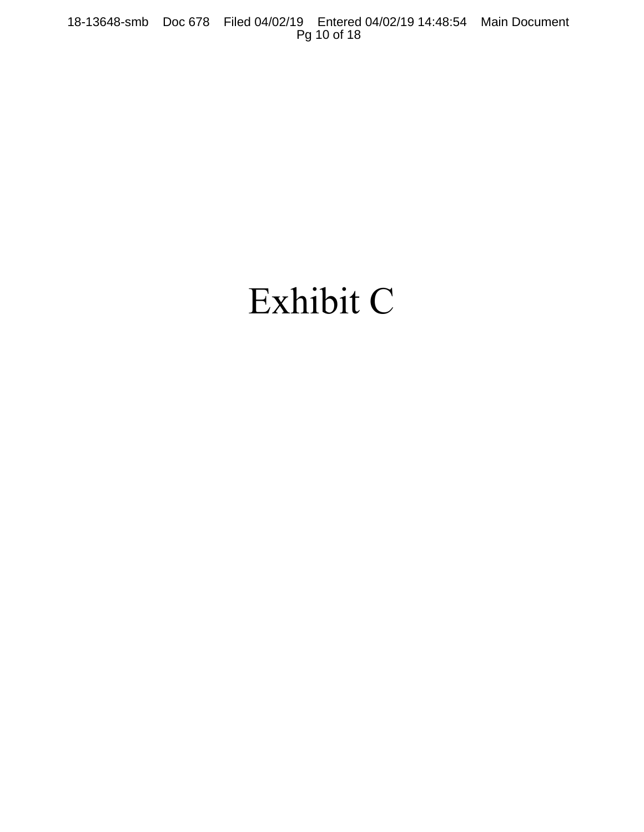## Exhibit C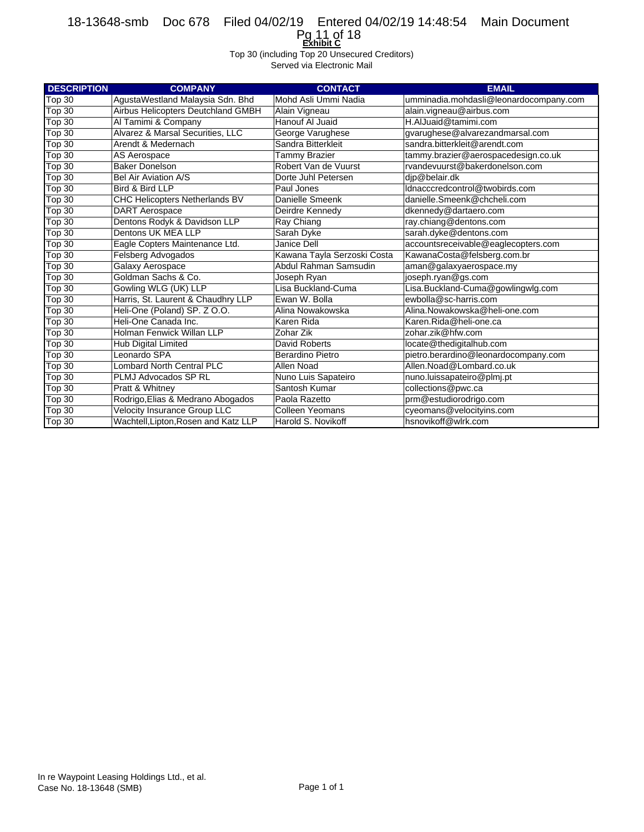**Exhibit C** Pg 11 of 18

Top 30 (including Top 20 Unsecured Creditors)

| <b>DESCRIPTION</b> | <b>COMPANY</b>                       | <b>CONTACT</b>              | <b>EMAIL</b>                           |
|--------------------|--------------------------------------|-----------------------------|----------------------------------------|
| Top 30             | AgustaWestland Malaysia Sdn. Bhd     | Mohd Asli Ummi Nadia        | umminadia.mohdasli@leonardocompany.com |
| Top 30             | Airbus Helicopters Deutchland GMBH   | Alain Vigneau               | alain.vigneau@airbus.com               |
| Top 30             | Al Tamimi & Company                  | Hanouf Al Juaid             | H.AlJuaid@tamimi.com                   |
| Top 30             | Alvarez & Marsal Securities, LLC     | George Varughese            | gvarughese@alvarezandmarsal.com        |
| Top 30             | Arendt & Medernach                   | Sandra Bitterkleit          | sandra.bitterkleit@arendt.com          |
| Top 30             | AS Aerospace                         | <b>Tammy Brazier</b>        | tammy.brazier@aerospacedesign.co.uk    |
| Top 30             | <b>Baker Donelson</b>                | Robert Van de Vuurst        | rvandevuurst@bakerdonelson.com         |
| Top 30             | Bel Air Aviation A/S                 | Dorte Juhl Petersen         | djp@belair.dk                          |
| Top 30             | Bird & Bird LLP                      | Paul Jones                  | ldnacccredcontrol@twobirds.com         |
| Top 30             | CHC Helicopters Netherlands BV       | Danielle Smeenk             | danielle.Smeenk@chcheli.com            |
| Top 30             | <b>DART</b> Aerospace                | Deirdre Kennedy             | dkennedy@dartaero.com                  |
| Top 30             | Dentons Rodyk & Davidson LLP         | Ray Chiang                  | ray.chiang@dentons.com                 |
| Top 30             | Dentons UK MEA LLP                   | Sarah Dyke                  | sarah.dyke@dentons.com                 |
| Top 30             | Eagle Copters Maintenance Ltd.       | Janice Dell                 | accountsreceivable@eaglecopters.com    |
| Top 30             | Felsberg Advogados                   | Kawana Tayla Serzoski Costa | KawanaCosta@felsberg.com.br            |
| Top 30             | Galaxy Aerospace                     | Abdul Rahman Samsudin       | aman@galaxyaerospace.my                |
| Top 30             | Goldman Sachs & Co.                  | Joseph Ryan                 | joseph.ryan@gs.com                     |
| Top 30             | Gowling WLG (UK) LLP                 | Lisa Buckland-Cuma          | Lisa.Buckland-Cuma@gowlingwlg.com      |
| Top 30             | Harris, St. Laurent & Chaudhry LLP   | Ewan W. Bolla               | ewbolla@sc-harris.com                  |
| Top 30             | Heli-One (Poland) SP. Z O.O.         | Alina Nowakowska            | Alina.Nowakowska@heli-one.com          |
| Top 30             | Heli-One Canada Inc.                 | Karen Rida                  | Karen.Rida@heli-one.ca                 |
| Top 30             | Holman Fenwick Willan LLP            | Zohar Zik                   | zohar.zik@hfw.com                      |
| Top 30             | <b>Hub Digital Limited</b>           | David Roberts               | locate@thedigitalhub.com               |
| Top 30             | Leonardo SPA                         | <b>Berardino Pietro</b>     | pietro.berardino@leonardocompany.com   |
| Top 30             | <b>Lombard North Central PLC</b>     | Allen Noad                  | Allen.Noad@Lombard.co.uk               |
| Top 30             | PLMJ Advocados SP RL                 | Nuno Luis Sapateiro         | nuno.luissapateiro@plmj.pt             |
| <b>Top 30</b>      | Pratt & Whitney                      | Santosh Kumar               | collections@pwc.ca                     |
| Top 30             | Rodrigo, Elias & Medrano Abogados    | Paola Razetto               | prm@estudiorodrigo.com                 |
| Top 30             | Velocity Insurance Group LLC         | <b>Colleen Yeomans</b>      | cyeomans@velocityins.com               |
| Top 30             | Wachtell, Lipton, Rosen and Katz LLP | Harold S. Novikoff          | hsnovikoff@wlrk.com                    |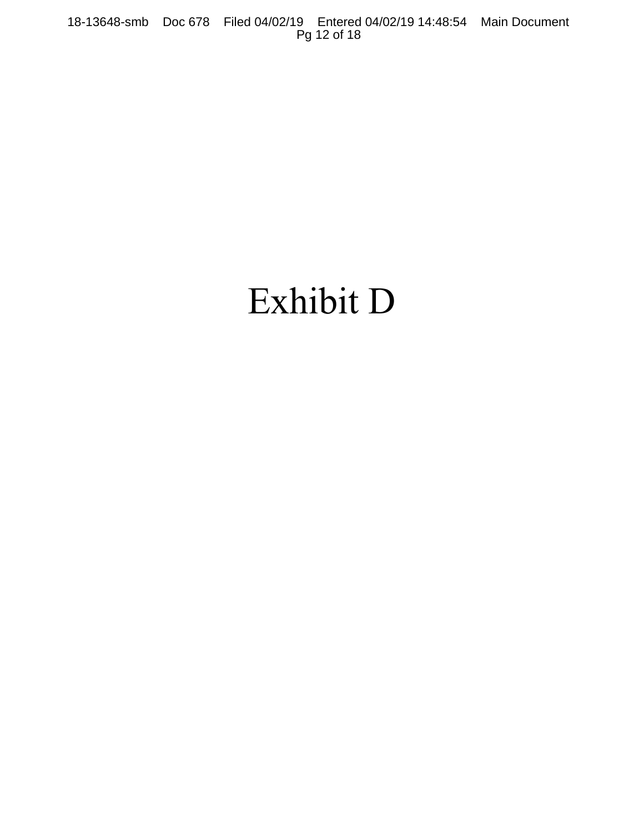# Exhibit D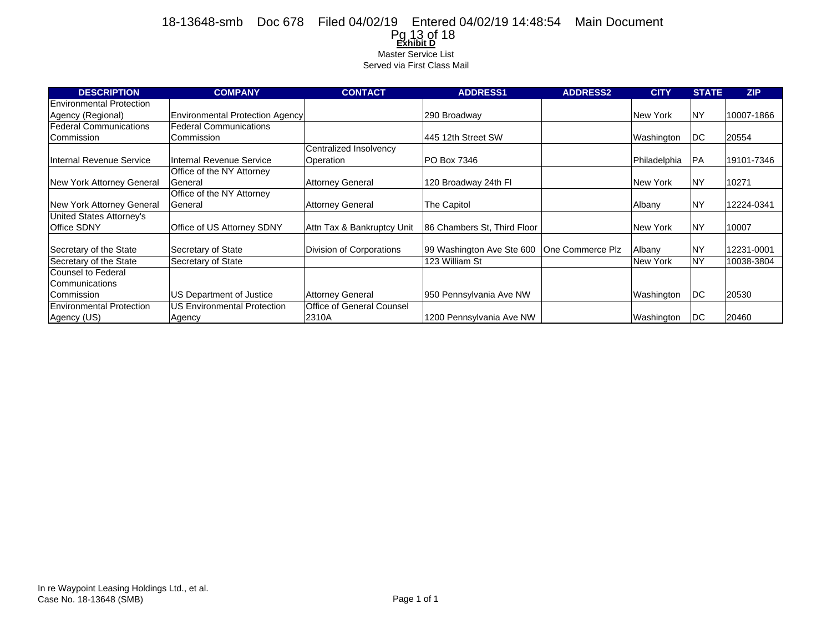#### **Exhibit D** Pg 13 of 18Master Service List Served via First Class Mail 18-13648-smb Doc 678 Filed 04/02/19 Entered 04/02/19 14:48:54 Main Document

| <b>DESCRIPTION</b>              | <b>COMPANY</b>                         | <b>CONTACT</b>             | <b>ADDRESS1</b>                              | <b>ADDRESS2</b> | <b>CITY</b>  | <b>STATE</b> | ZIP        |
|---------------------------------|----------------------------------------|----------------------------|----------------------------------------------|-----------------|--------------|--------------|------------|
| <b>Environmental Protection</b> |                                        |                            |                                              |                 |              |              |            |
| Agency (Regional)               | <b>Environmental Protection Agency</b> |                            | 290 Broadway                                 |                 | New York     | <b>NY</b>    | 10007-1866 |
| <b>Federal Communications</b>   | <b>Federal Communications</b>          |                            |                                              |                 |              |              |            |
| Commission                      | Commission                             |                            | 445 12th Street SW                           |                 | Washington   | DC           | 20554      |
|                                 |                                        | Centralized Insolvency     |                                              |                 |              |              |            |
| Internal Revenue Service        | Internal Revenue Service               | Operation                  | PO Box 7346                                  |                 | Philadelphia | <b>PA</b>    | 19101-7346 |
|                                 | Office of the NY Attorney              |                            |                                              |                 |              |              |            |
| New York Attorney General       | General                                | <b>Attorney General</b>    | 120 Broadway 24th Fl                         |                 | New York     | <b>NY</b>    | 10271      |
|                                 | Office of the NY Attorney              |                            |                                              |                 |              |              |            |
| New York Attorney General       | General                                | <b>Attorney General</b>    | The Capitol                                  |                 | Albany       | <b>NY</b>    | 12224-0341 |
| United States Attorney's        |                                        |                            |                                              |                 |              |              |            |
| <b>Office SDNY</b>              | Office of US Attorney SDNY             | Attn Tax & Bankruptcy Unit | 86 Chambers St. Third Floor                  |                 | New York     | <b>NY</b>    | 10007      |
|                                 |                                        |                            |                                              |                 |              |              |            |
| Secretary of the State          | Secretary of State                     | Division of Corporations   | 99 Washington Ave Ste 600   One Commerce Plz |                 | Albany       | <b>NY</b>    | 12231-0001 |
| Secretary of the State          | Secretary of State                     |                            | 123 William St                               |                 | New York     | <b>NY</b>    | 10038-3804 |
| <b>Counsel to Federal</b>       |                                        |                            |                                              |                 |              |              |            |
| Communications                  |                                        |                            |                                              |                 |              |              |            |
| Commission                      | US Department of Justice               | <b>Attorney General</b>    | 950 Pennsylvania Ave NW                      |                 | Washington   | DC           | 20530      |
| <b>Environmental Protection</b> | <b>US Environmental Protection</b>     | Office of General Counsel  |                                              |                 |              |              |            |
| Agency (US)                     | Agency                                 | 2310A                      | 1200 Pennsylvania Ave NW                     |                 | Washington   | DC           | 20460      |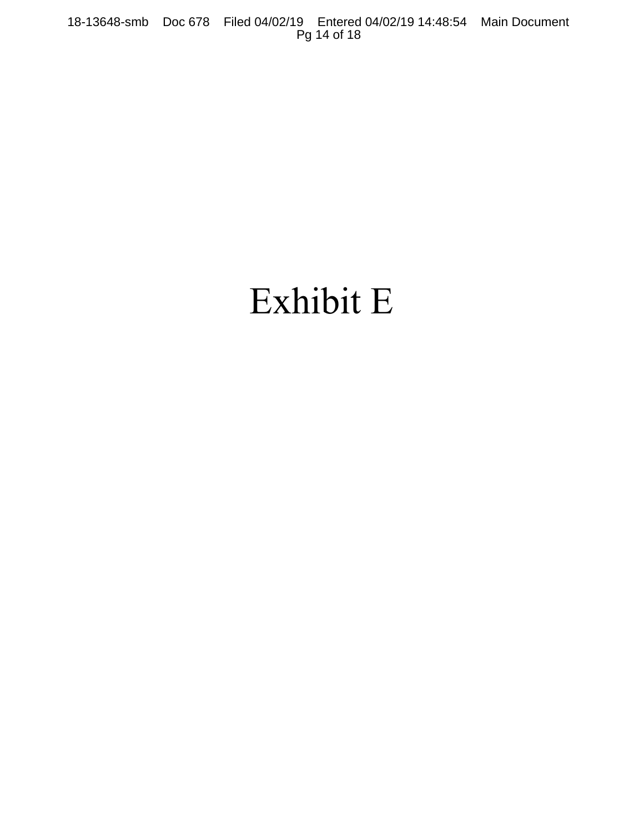# Exhibit E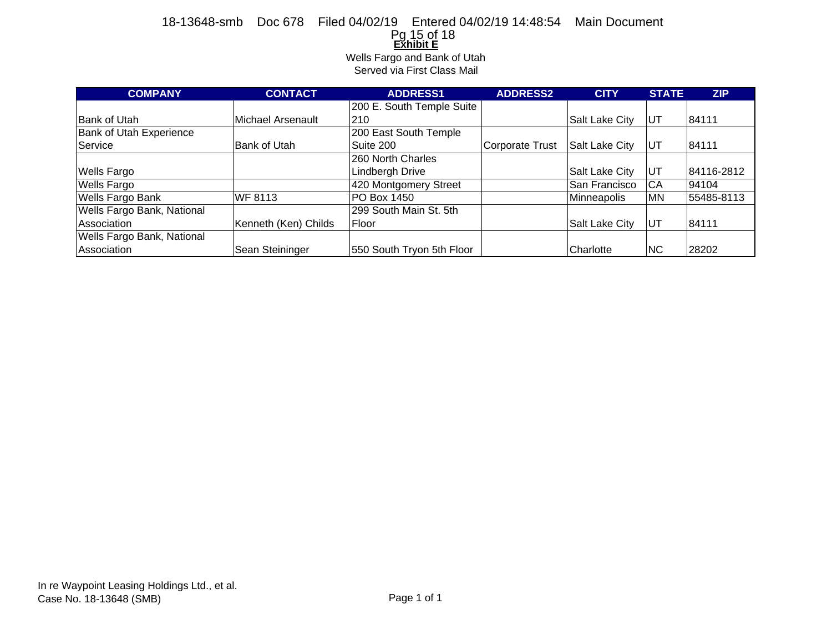### **<u>Exॅhibit E</u><br>Wells Fargo and Bank of Utah** 18-13648-smb Doc 678 Filed 04/02/19 Entered 04/02/19 14:48:54 Main Document Pg 15 of 18

Served via First Class Mail

| <b>COMPANY</b>                 | <b>CONTACT</b>       | <b>ADDRESS1</b>           | <b>ADDRESS2</b>        | <b>CITY</b>        | <b>STATE</b> | <b>ZIP</b> |
|--------------------------------|----------------------|---------------------------|------------------------|--------------------|--------------|------------|
|                                |                      | 200 E. South Temple Suite |                        |                    |              |            |
| <b>Bank of Utah</b>            | Michael Arsenault    | 210                       |                        | Salt Lake City     | UT           | 84111      |
| <b>Bank of Utah Experience</b> |                      | 200 East South Temple     |                        |                    |              |            |
| Service                        | Bank of Utah         | Suite 200                 | <b>Corporate Trust</b> | Salt Lake City     | UT           | 84111      |
|                                |                      | 260 North Charles         |                        |                    |              |            |
| <b>Wells Fargo</b>             |                      | <b>Lindbergh Drive</b>    |                        | Salt Lake City     | UT           | 84116-2812 |
| <b>Wells Fargo</b>             |                      | 420 Montgomery Street     |                        | San Francisco      | CA           | 94104      |
| <b>Wells Fargo Bank</b>        | <b>WF 8113</b>       | PO Box 1450               |                        | <b>Minneapolis</b> | ΜN           | 55485-8113 |
| Wells Fargo Bank, National     |                      | 299 South Main St. 5th    |                        |                    |              |            |
| Association                    | Kenneth (Ken) Childs | Floor                     |                        | Salt Lake City     | UT           | 84111      |
| Wells Fargo Bank, National     |                      |                           |                        |                    |              |            |
| Association                    | Sean Steininger      | 550 South Tryon 5th Floor |                        | Charlotte          | <b>NC</b>    | 28202      |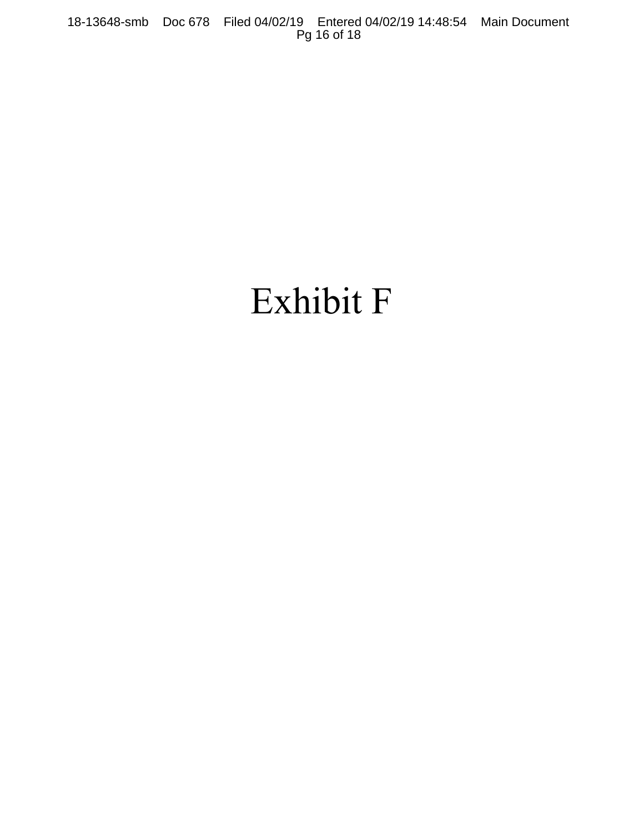# Exhibit F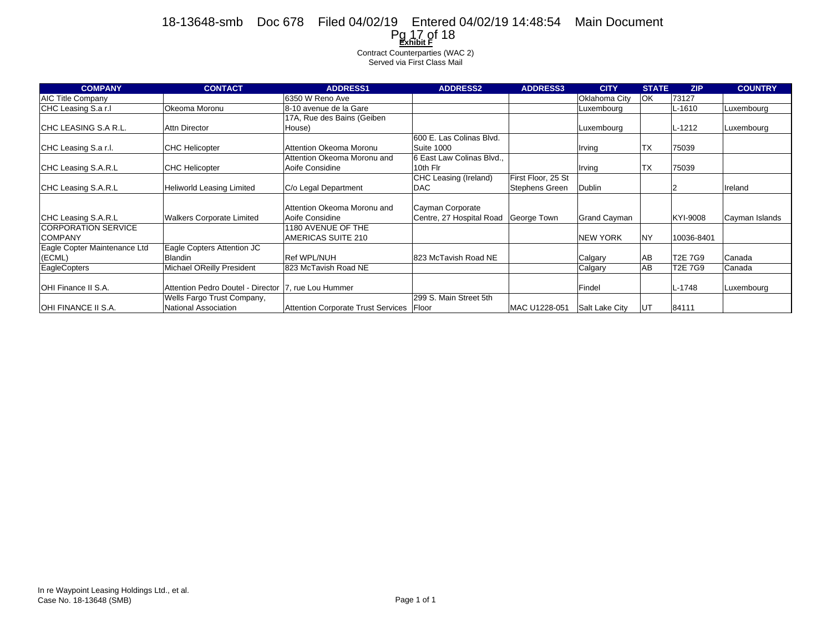### **Exhibit F** Pg 17 of 1818-13648-smb Doc 678 Filed 04/02/19 Entered 04/02/19 14:48:54 Main Document

Contract Counterparties (WAC 2) Served via First Class Mail

| <b>COMPANY</b>               | <b>CONTACT</b>                                      | <b>ADDRESS1</b>                            | <b>ADDRESS2</b>           | <b>ADDRESS3</b>    | <b>CITY</b>         | <b>STATE</b> | <b>ZIP</b>     | <b>COUNTRY</b> |
|------------------------------|-----------------------------------------------------|--------------------------------------------|---------------------------|--------------------|---------------------|--------------|----------------|----------------|
| <b>AIC Title Company</b>     |                                                     | 6350 W Reno Ave                            |                           |                    | Oklahoma City       | OK           | 73127          |                |
| CHC Leasing S.a r.I          | Okeoma Moronu                                       | 8-10 avenue de la Gare                     |                           |                    | Luxembourg          |              | L-1610         | Luxembourg     |
|                              |                                                     | 17A, Rue des Bains (Geiben                 |                           |                    |                     |              |                |                |
| ICHC LEASING S.A R.L.        | Attn Director                                       | House)                                     |                           |                    | Luxembourg          |              | $L-1212$       | Luxembourg     |
|                              |                                                     |                                            | 600 E. Las Colinas Blvd.  |                    |                     |              |                |                |
| CHC Leasing S.a r.l.         | <b>CHC Helicopter</b>                               | Attention Okeoma Moronu                    | Suite 1000                |                    | Irving              | ТX           | 75039          |                |
|                              |                                                     | Attention Okeoma Moronu and                | 6 East Law Colinas Blvd., |                    |                     |              |                |                |
| CHC Leasing S.A.R.L          | <b>CHC Helicopter</b>                               | Aoife Considine                            | 10th Flr                  |                    | Irving              | <b>TX</b>    | 75039          |                |
|                              |                                                     |                                            | CHC Leasing (Ireland)     | First Floor, 25 St |                     |              |                |                |
| CHC Leasing S.A.R.L          | <b>Heliworld Leasing Limited</b>                    | C/o Legal Department                       | <b>DAC</b>                | Stephens Green     | Dublin              |              |                | Ireland        |
|                              |                                                     |                                            |                           |                    |                     |              |                |                |
|                              |                                                     | Attention Okeoma Moronu and                | Cayman Corporate          |                    |                     |              |                |                |
| CHC Leasing S.A.R.L          | <b>Walkers Corporate Limited</b>                    | Aoife Considine                            | Centre, 27 Hospital Road  | George Town        | <b>Grand Cayman</b> |              | KYI-9008       | Cayman Islands |
| <b>CORPORATION SERVICE</b>   |                                                     | 1180 AVENUE OF THE                         |                           |                    |                     |              |                |                |
| <b>COMPANY</b>               |                                                     | AMERICAS SUITE 210                         |                           |                    | <b>NEW YORK</b>     | <b>NY</b>    | 10036-8401     |                |
| Eagle Copter Maintenance Ltd | Eagle Copters Attention JC                          |                                            |                           |                    |                     |              |                |                |
| (ECML)                       | Blandin                                             | <b>Ref WPL/NUH</b>                         | 823 McTavish Road NE      |                    | Calgary             | AB           | <b>T2E 7G9</b> | Canada         |
| <b>EagleCopters</b>          | Michael OReilly President                           | 823 McTavish Road NE                       |                           |                    | Calgary             | AB           | <b>T2E 7G9</b> | Canada         |
|                              |                                                     |                                            |                           |                    |                     |              |                |                |
| <b>IOHI Finance II S.A.</b>  | Attention Pedro Doutel - Director 7, rue Lou Hummer |                                            |                           |                    | Findel              |              | L-1748         | Luxembourg     |
|                              | Wells Fargo Trust Company,                          |                                            | 299 S. Main Street 5th    |                    |                     |              |                |                |
| OHI FINANCE II S.A.          | National Association                                | Attention Corporate Trust Services   Floor |                           | MAC U1228-051      | Salt Lake City      | UT           | 84111          |                |